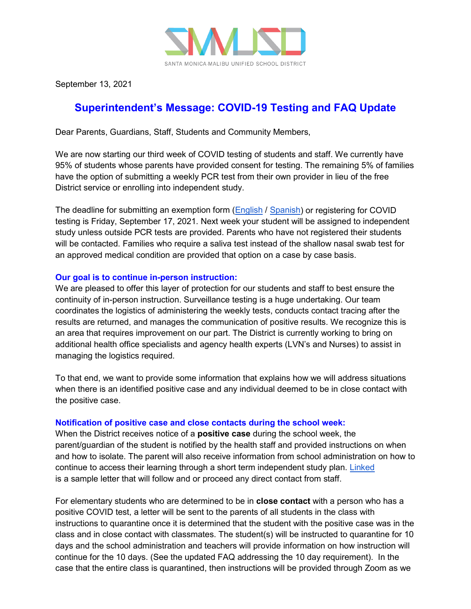

September 13, 2021

## **Superintendent's Message: COVID-19 Testing and FAQ Update**

Dear Parents, Guardians, Staff, Students and Community Members,

We are now starting our third week of COVID testing of students and staff. We currently have 95% of students whose parents have provided consent for testing. The remaining 5% of families have the option of submitting a weekly PCR test from their own provider in lieu of the free District service or enrolling into independent study.

The deadline for submitting an exemption form [\(English](https://www.smmusd.org/cms/lib/CA50000164/Centricity/Domain/2885/COVID-19RelatedStudentExemptionRequestAccommodation.pdf) / [Spanish\)](https://www.smmusd.org/cms/lib/CA50000164/Centricity/Domain/2885/COVID-19RelatedStudentExemptionRequestAccommodationSP.pdf) or registering for COVID testing is Friday, September 17, 2021. Next week your student will be assigned to independent study unless outside PCR tests are provided. Parents who have not registered their students will be contacted. Families who require a saliva test instead of the shallow nasal swab test for an approved medical condition are provided that option on a case by case basis.

## **Our goal is to continue in-person instruction:**

We are pleased to offer this layer of protection for our students and staff to best ensure the continuity of in-person instruction. Surveillance testing is a huge undertaking. Our team coordinates the logistics of administering the weekly tests, conducts contact tracing after the results are returned, and manages the communication of positive results. We recognize this is an area that requires improvement on our part. The District is currently working to bring on additional health office specialists and agency health experts (LVN's and Nurses) to assist in managing the logistics required.

To that end, we want to provide some information that explains how we will address situations when there is an identified positive case and any individual deemed to be in close contact with the positive case.

## **Notification of positive case and close contacts during the school week:**

When the District receives notice of a **positive case** during the school week, the parent/guardian of the student is notified by the health staff and provided instructions on when and how to isolate. The parent will also receive information from school administration on how to continue to access their learning through a short term independent study plan. [Linked](https://drive.google.com/file/d/1I82wlxVdx8FpDWMqXa4w6GfKj4ub-OzJ/view?usp=sharing) is a sample letter that will follow and or proceed any direct contact from staff.

For elementary students who are determined to be in **close contact** with a person who has a positive COVID test, a letter will be sent to the parents of all students in the class with instructions to quarantine once it is determined that the student with the positive case was in the class and in close contact with classmates. The student(s) will be instructed to quarantine for 10 days and the school administration and teachers will provide information on how instruction will continue for the 10 days. (See the updated FAQ addressing the 10 day requirement). In the case that the entire class is quarantined, then instructions will be provided through Zoom as we